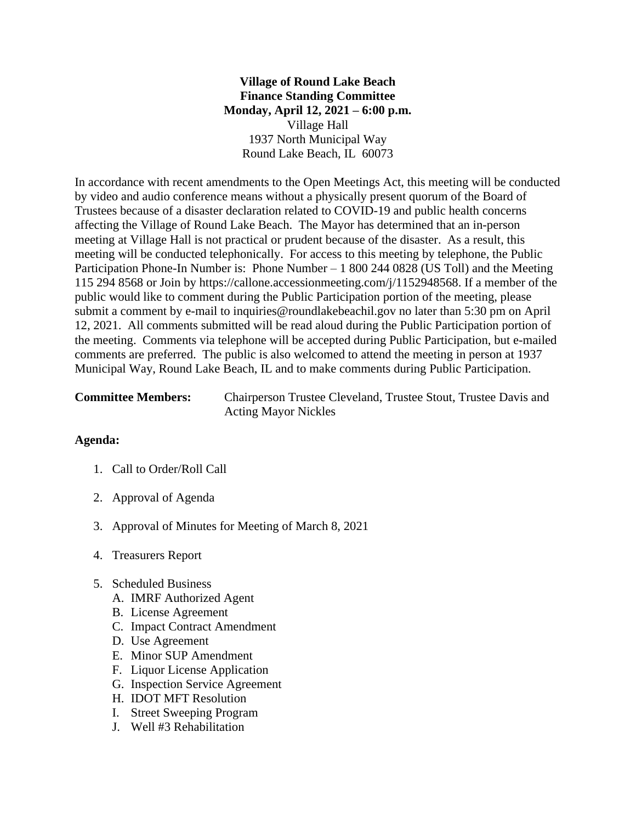## **Village of Round Lake Beach Finance Standing Committee Monday, April 12, 2021 – 6:00 p.m.** Village Hall 1937 North Municipal Way Round Lake Beach, IL 60073

In accordance with recent amendments to the Open Meetings Act, this meeting will be conducted by video and audio conference means without a physically present quorum of the Board of Trustees because of a disaster declaration related to COVID-19 and public health concerns affecting the Village of Round Lake Beach. The Mayor has determined that an in-person meeting at Village Hall is not practical or prudent because of the disaster. As a result, this meeting will be conducted telephonically. For access to this meeting by telephone, the Public Participation Phone-In Number is: Phone Number – 1 800 244 0828 (US Toll) and the Meeting 115 294 8568 or Join by https://callone.accessionmeeting.com/j/1152948568. If a member of the public would like to comment during the Public Participation portion of the meeting, please submit a comment by e-mail to inquiries@roundlakebeachil.gov no later than 5:30 pm on April 12, 2021. All comments submitted will be read aloud during the Public Participation portion of the meeting. Comments via telephone will be accepted during Public Participation, but e-mailed comments are preferred. The public is also welcomed to attend the meeting in person at 1937 Municipal Way, Round Lake Beach, IL and to make comments during Public Participation.

| <b>Committee Members:</b> | Chairperson Trustee Cleveland, Trustee Stout, Trustee Davis and |
|---------------------------|-----------------------------------------------------------------|
|                           | <b>Acting Mayor Nickles</b>                                     |

## **Agenda:**

- 1. Call to Order/Roll Call
- 2. Approval of Agenda
- 3. Approval of Minutes for Meeting of March 8, 2021
- 4. Treasurers Report
- 5. Scheduled Business
	- A. IMRF Authorized Agent
	- B. License Agreement
	- C. Impact Contract Amendment
	- D. Use Agreement
	- E. Minor SUP Amendment
	- F. Liquor License Application
	- G. Inspection Service Agreement
	- H. IDOT MFT Resolution
	- I. Street Sweeping Program
	- J. Well #3 Rehabilitation